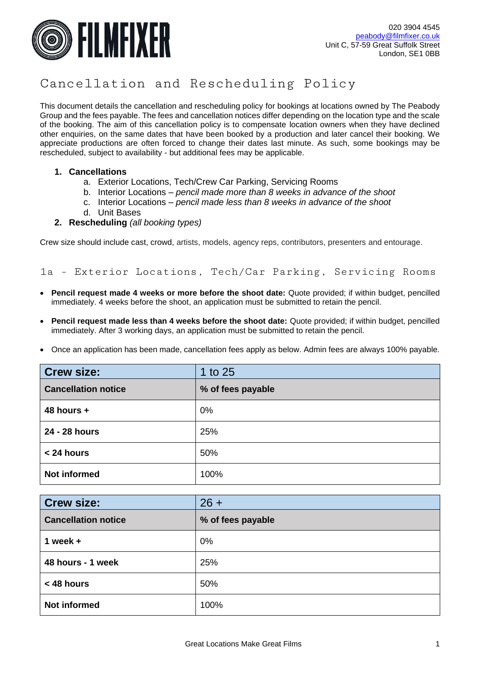

# Cancellation and Rescheduling Policy

This document details the cancellation and rescheduling policy for bookings at locations owned by The Peabody Group and the fees payable. The fees and cancellation notices differ depending on the location type and the scale of the booking. The aim of this cancellation policy is to compensate location owners when they have declined other enquiries, on the same dates that have been booked by a production and later cancel their booking. We appreciate productions are often forced to change their dates last minute. As such, some bookings may be rescheduled, subject to availability - but additional fees may be applicable.

#### **1. Cancellations**

- a. Exterior Locations, Tech/Crew Car Parking, Servicing Rooms
- b. Interior Locations *pencil made more than 8 weeks in advance of the shoot*
- c. Interior Locations *pencil made less than 8 weeks in advance of the shoot*
- d. Unit Bases
- **2. Rescheduling** *(all booking types)*

Crew size should include cast, crowd, artists, models, agency reps, contributors, presenters and entourage.

### 1a - Exterior Locations, Tech/Car Parking, Servicing Rooms

- **Pencil request made 4 weeks or more before the shoot date:** Quote provided; if within budget, pencilled immediately. 4 weeks before the shoot, an application must be submitted to retain the pencil.
- **Pencil request made less than 4 weeks before the shoot date:** Quote provided; if within budget, pencilled immediately. After 3 working days, an application must be submitted to retain the pencil.
- Once an application has been made, cancellation fees apply as below. Admin fees are always 100% payable.

| <b>Crew size:</b>          | 1 to 25           |
|----------------------------|-------------------|
| <b>Cancellation notice</b> | % of fees payable |
| 48 hours +                 | 0%                |
| 24 - 28 hours              | 25%               |
| < 24 hours                 | 50%               |
| <b>Not informed</b>        | 100%              |

| <b>Crew size:</b>          | $26 +$            |
|----------------------------|-------------------|
| <b>Cancellation notice</b> | % of fees payable |
| 1 week $+$                 | 0%                |
| 48 hours - 1 week          | 25%               |
| < 48 hours                 | 50%               |
| <b>Not informed</b>        | 100%              |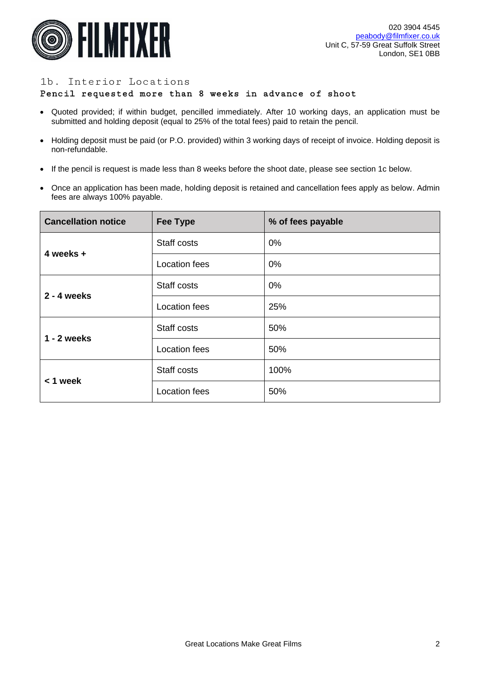

# 1b. Interior Locations

#### Pencil requested more than 8 weeks in advance of shoot

- Quoted provided; if within budget, pencilled immediately. After 10 working days, an application must be submitted and holding deposit (equal to 25% of the total fees) paid to retain the pencil.
- Holding deposit must be paid (or P.O. provided) within 3 working days of receipt of invoice. Holding deposit is non-refundable.
- If the pencil is request is made less than 8 weeks before the shoot date, please see section 1c below.
- Once an application has been made, holding deposit is retained and cancellation fees apply as below. Admin fees are always 100% payable.

| <b>Cancellation notice</b> | <b>Fee Type</b>      | % of fees payable |
|----------------------------|----------------------|-------------------|
| 4 weeks +                  | Staff costs          | $0\%$             |
|                            | Location fees        | $0\%$             |
| $2 - 4$ weeks              | Staff costs          | $0\%$             |
|                            | <b>Location fees</b> | 25%               |
| $1 - 2$ weeks              | Staff costs          | 50%               |
|                            | Location fees        | 50%               |
| $< 1$ week                 | Staff costs          | 100%              |
|                            | <b>Location fees</b> | 50%               |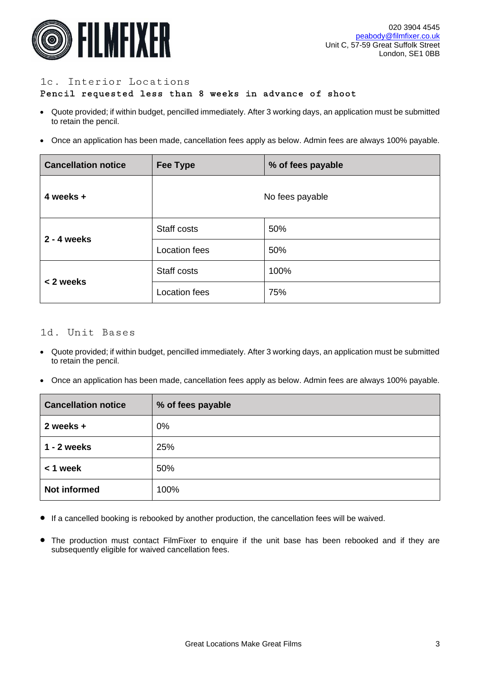

## 1c. Interior Locations

## Pencil requested less than 8 weeks in advance of shoot

- Quote provided; if within budget, pencilled immediately. After 3 working days, an application must be submitted to retain the pencil.
- Once an application has been made, cancellation fees apply as below. Admin fees are always 100% payable.

| <b>Cancellation notice</b> | Fee Type             | % of fees payable |
|----------------------------|----------------------|-------------------|
| 4 weeks +                  |                      | No fees payable   |
| $2 - 4$ weeks              | Staff costs          | 50%               |
|                            | <b>Location fees</b> | 50%               |
| < 2 weeks                  | Staff costs          | 100%              |
|                            | <b>Location fees</b> | 75%               |

# 1d. Unit Bases

- Quote provided; if within budget, pencilled immediately. After 3 working days, an application must be submitted to retain the pencil.
- Once an application has been made, cancellation fees apply as below. Admin fees are always 100% payable.

| <b>Cancellation notice</b> | % of fees payable |
|----------------------------|-------------------|
| 2 weeks +                  | 0%                |
| $1 - 2$ weeks              | 25%               |
| $< 1$ week                 | 50%               |
| <b>Not informed</b>        | 100%              |

- If a cancelled booking is rebooked by another production, the cancellation fees will be waived.
- The production must contact FilmFixer to enquire if the unit base has been rebooked and if they are subsequently eligible for waived cancellation fees.